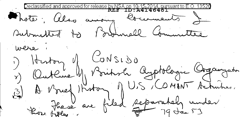Declassified and approved for release by NSA on 10-15-2014, pursuant to E.O.  $\,$ Photo, also among locaments & submitted to Barmell Committee were : 1) Henton J CONSIDO<br>1) Outline J Poritish Applebourie Organization<br>13) A Prief Hoston J U.S. COMINT Acturities.<br>19 Jacob are filed Reparately under